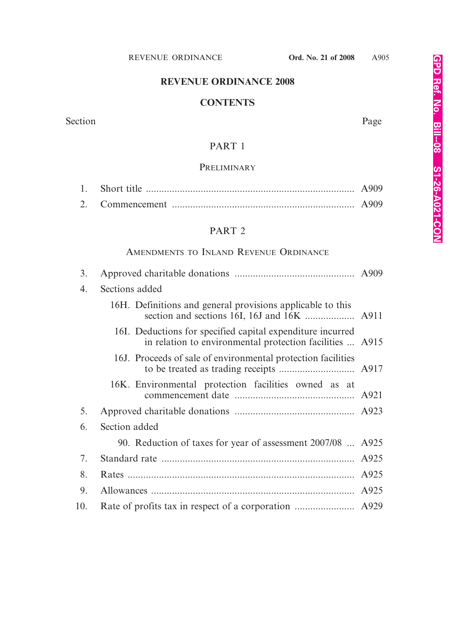# **REVENUE ORDINANCE 2008**

### **CONTENTS**

Section Page

### PART 1

# **PRELIMINARY**

# PART 2

# AMENDMENTS TO INLAND REVENUE ORDINANCE

| 3.  |                                                                                                                        |      |  |
|-----|------------------------------------------------------------------------------------------------------------------------|------|--|
| 4.  | Sections added                                                                                                         |      |  |
|     | 16H. Definitions and general provisions applicable to this                                                             |      |  |
|     | 16I. Deductions for specified capital expenditure incurred<br>in relation to environmental protection facilities  A915 |      |  |
|     | 16J. Proceeds of sale of environmental protection facilities                                                           |      |  |
|     | 16K. Environmental protection facilities owned as at                                                                   |      |  |
| 5.  |                                                                                                                        |      |  |
| 6.  | Section added                                                                                                          |      |  |
|     | 90. Reduction of taxes for year of assessment 2007/08  A925                                                            |      |  |
| 7.  |                                                                                                                        | A925 |  |
| 8.  |                                                                                                                        | A925 |  |
| 9.  |                                                                                                                        |      |  |
| 10. |                                                                                                                        |      |  |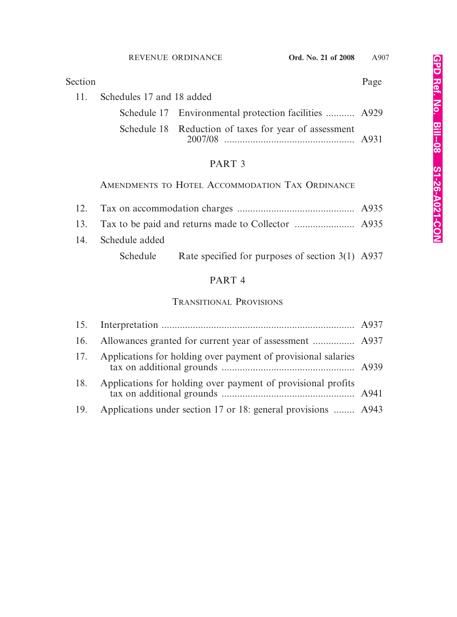| Section |                               |                                                       | Page |
|---------|-------------------------------|-------------------------------------------------------|------|
|         | 11. Schedules 17 and 18 added |                                                       |      |
|         |                               | Schedule 17 Environmental protection facilities  A929 |      |
|         |                               | Schedule 18 Reduction of taxes for year of assessment |      |

# PART 3

# AMENDMENTS TO HOTEL ACCOMMODATION TAX ORDINANCE

| 14. Schedule added |                                                           |  |
|--------------------|-----------------------------------------------------------|--|
|                    | Schedule Rate specified for purposes of section 3(1) A937 |  |

# PART 4

# TRANSITIONAL PROVISIONS

| 17. | Applications for holding over payment of provisional salaries     |  |
|-----|-------------------------------------------------------------------|--|
| 18. | Applications for holding over payment of provisional profits      |  |
|     | 19. Applications under section 17 or 18: general provisions  A943 |  |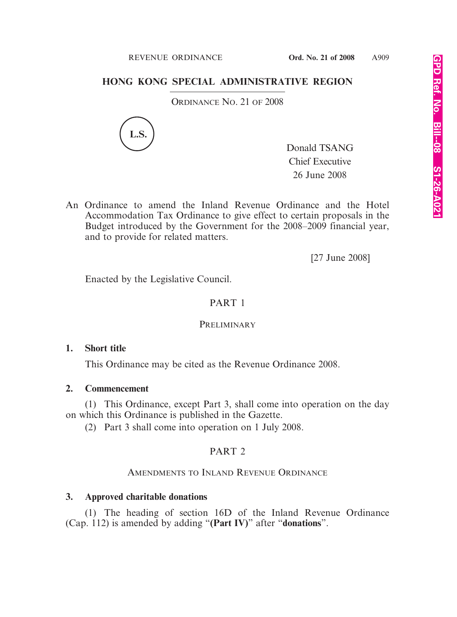#### REVENUE ORDINANCE **Ord. No. 21 of 2008** A909

# **HONG KONG SPECIAL ADMINISTRATIVE REGION**

ORDINANCE NO. 21 OF 2008



Donald TSANG Chief Executive 26 June 2008

An Ordinance to amend the Inland Revenue Ordinance and the Hotel Accommodation Tax Ordinance to give effect to certain proposals in the Budget introduced by the Government for the 2008–2009 financial year, and to provide for related matters.

[27 June 2008]

Enacted by the Legislative Council.

# PART 1

# **PRELIMINARY**

# **1. Short title**

This Ordinance may be cited as the Revenue Ordinance 2008.

### **2. Commencement**

(1) This Ordinance, except Part 3, shall come into operation on the day on which this Ordinance is published in the Gazette.

(2) Part 3 shall come into operation on 1 July 2008.

# PART 2

# AMENDMENTS TO INLAND REVENUE ORDINANCE

# **3. Approved charitable donations**

(1) The heading of section 16D of the Inland Revenue Ordinance (Cap. 112) is amended by adding "**(Part IV)**" after "**donations**".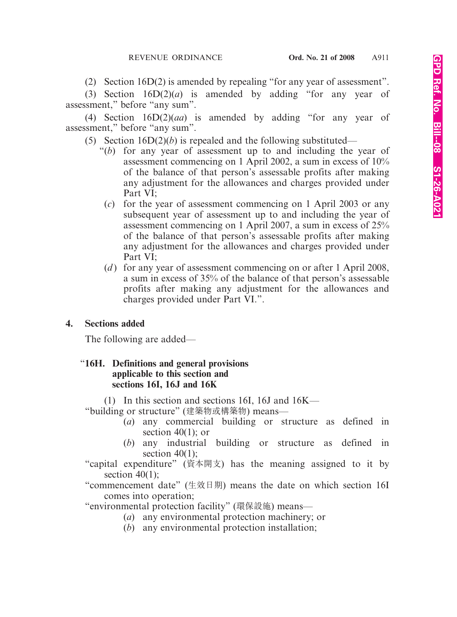(2) Section 16D(2) is amended by repealing "for any year of assessment".

(3) Section 16D(2)(*a*) is amended by adding "for any year of assessment," before "any sum".

(4) Section 16D(2)(*aa*) is amended by adding "for any year of assessment," before "any sum".

(5) Section  $16D(2)(b)$  is repealed and the following substituted—

- "(*b*) for any year of assessment up to and including the year of assessment commencing on 1 April 2002, a sum in excess of 10% of the balance of that person's assessable profits after making any adjustment for the allowances and charges provided under Part VI;
	- (*c*) for the year of assessment commencing on 1 April 2003 or any subsequent year of assessment up to and including the year of assessment commencing on 1 April 2007, a sum in excess of 25% of the balance of that person's assessable profits after making any adjustment for the allowances and charges provided under Part VI;
	- (*d*) for any year of assessment commencing on or after 1 April 2008, a sum in excess of 35% of the balance of that person's assessable profits after making any adjustment for the allowances and charges provided under Part VI.".

### **4. Sections added**

The following are added—

### "**16H. Definitions and general provisions applicable to this section and sections 16I, 16J and 16K**

(1) In this section and sections 16I, 16J and 16K—

"building or structure" (建築物或構築物) means—

- (*a*) any commercial building or structure as defined in section  $40(1)$ ; or
- (*b*) any industrial building or structure as defined in section  $40(1)$ ;
- "capital expenditure" (資本開支) has the meaning assigned to it by section  $40(1)$ ;
- "commencement date" (生效日期) means the date on which section 16I comes into operation;
- "environmental protection facility" (環保設施) means—
	- (*a*) any environmental protection machinery; or
	- (*b*) any environmental protection installation;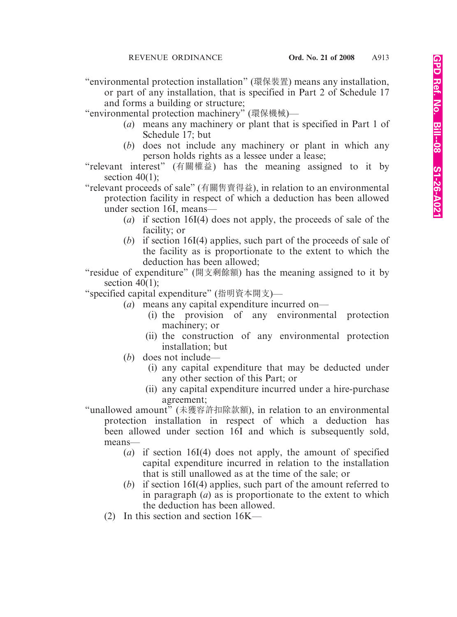"environmental protection installation" (環保裝置) means any installation, or part of any installation, that is specified in Part 2 of Schedule 17 and forms a building or structure;

"environmental protection machinery" (環保機械)—

- (*a*) means any machinery or plant that is specified in Part 1 of Schedule 17; but
- (*b*) does not include any machinery or plant in which any person holds rights as a lessee under a lease;
- "relevant interest" (有關權益) has the meaning assigned to it by section  $40(1)$ :

"relevant proceeds of sale" (有關售賣得益), in relation to an environmental protection facility in respect of which a deduction has been allowed under section 16I, means—

- (*a*) if section 16I(4) does not apply, the proceeds of sale of the facility; or
- (*b*) if section 16I(4) applies, such part of the proceeds of sale of the facility as is proportionate to the extent to which the deduction has been allowed;

"residue of expenditure" (開支剩餘額) has the meaning assigned to it by section 40(1):

"specified capital expenditure" (指明資本開支)—

- (*a*) means any capital expenditure incurred on—
	- (i) the provision of any environmental protection machinery; or
	- (ii) the construction of any environmental protection installation; but
- (*b*) does not include—
	- (i) any capital expenditure that may be deducted under any other section of this Part; or
	- (ii) any capital expenditure incurred under a hire-purchase agreement;

"unallowed amount" (未獲容許扣除款額), in relation to an environmental protection installation in respect of which a deduction has been allowed under section 16I and which is subsequently sold, means—

- (*a*) if section 16I(4) does not apply, the amount of specified capital expenditure incurred in relation to the installation that is still unallowed as at the time of the sale; or
- (*b*) if section 16I(4) applies, such part of the amount referred to in paragraph (*a*) as is proportionate to the extent to which the deduction has been allowed.
- (2) In this section and section 16K—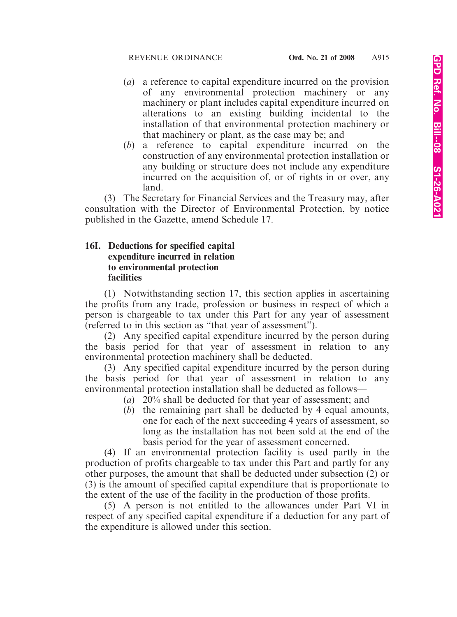- (*a*) a reference to capital expenditure incurred on the provision of any environmental protection machinery or any machinery or plant includes capital expenditure incurred on alterations to an existing building incidental to the installation of that environmental protection machinery or that machinery or plant, as the case may be; and
- (*b*) a reference to capital expenditure incurred on the construction of any environmental protection installation or any building or structure does not include any expenditure incurred on the acquisition of, or of rights in or over, any land.

(3) The Secretary for Financial Services and the Treasury may, after consultation with the Director of Environmental Protection, by notice published in the Gazette, amend Schedule 17.

### **16I. Deductions for specified capital expenditure incurred in relation to environmental protection facilities**

(1) Notwithstanding section 17, this section applies in ascertaining the profits from any trade, profession or business in respect of which a person is chargeable to tax under this Part for any year of assessment (referred to in this section as "that year of assessment").

(2) Any specified capital expenditure incurred by the person during the basis period for that year of assessment in relation to any environmental protection machinery shall be deducted.

(3) Any specified capital expenditure incurred by the person during the basis period for that year of assessment in relation to any environmental protection installation shall be deducted as follows—

- (*a*) 20% shall be deducted for that year of assessment; and
- (*b*) the remaining part shall be deducted by 4 equal amounts, one for each of the next succeeding 4 years of assessment, so long as the installation has not been sold at the end of the basis period for the year of assessment concerned.

(4) If an environmental protection facility is used partly in the production of profits chargeable to tax under this Part and partly for any other purposes, the amount that shall be deducted under subsection (2) or (3) is the amount of specified capital expenditure that is proportionate to the extent of the use of the facility in the production of those profits.

(5) A person is not entitled to the allowances under Part VI in respect of any specified capital expenditure if a deduction for any part of the expenditure is allowed under this section.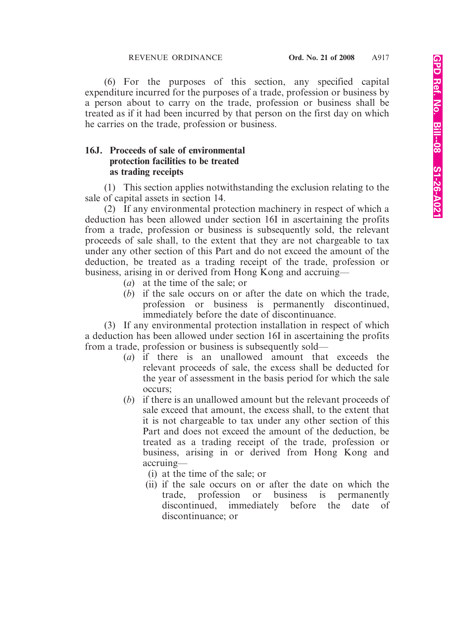(6) For the purposes of this section, any specified capital expenditure incurred for the purposes of a trade, profession or business by a person about to carry on the trade, profession or business shall be treated as if it had been incurred by that person on the first day on which he carries on the trade, profession or business.

### **16J. Proceeds of sale of environmental protection facilities to be treated as trading receipts**

(1) This section applies notwithstanding the exclusion relating to the sale of capital assets in section 14.

(2) If any environmental protection machinery in respect of which a deduction has been allowed under section 16I in ascertaining the profits from a trade, profession or business is subsequently sold, the relevant proceeds of sale shall, to the extent that they are not chargeable to tax under any other section of this Part and do not exceed the amount of the deduction, be treated as a trading receipt of the trade, profession or business, arising in or derived from Hong Kong and accruing—

- (*a*) at the time of the sale; or
- (*b*) if the sale occurs on or after the date on which the trade, profession or business is permanently discontinued, immediately before the date of discontinuance.

(3) If any environmental protection installation in respect of which a deduction has been allowed under section 16I in ascertaining the profits from a trade, profession or business is subsequently sold—

- (*a*) if there is an unallowed amount that exceeds the relevant proceeds of sale, the excess shall be deducted for the year of assessment in the basis period for which the sale occurs;
- (*b*) if there is an unallowed amount but the relevant proceeds of sale exceed that amount, the excess shall, to the extent that it is not chargeable to tax under any other section of this Part and does not exceed the amount of the deduction, be treated as a trading receipt of the trade, profession or business, arising in or derived from Hong Kong and accruing—
	- (i) at the time of the sale; or
	- (ii) if the sale occurs on or after the date on which the trade, profession or business is permanently discontinued, immediately before the date of discontinuance; or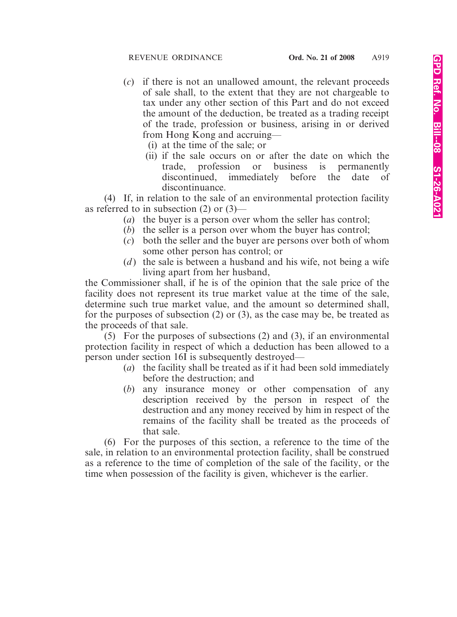- (*c*) if there is not an unallowed amount, the relevant proceeds of sale shall, to the extent that they are not chargeable to tax under any other section of this Part and do not exceed the amount of the deduction, be treated as a trading receipt of the trade, profession or business, arising in or derived from Hong Kong and accruing—
	- (i) at the time of the sale; or
	- (ii) if the sale occurs on or after the date on which the trade, profession or business is permanently discontinued, immediately before the date of discontinuance.

(4) If, in relation to the sale of an environmental protection facility as referred to in subsection (2) or (3)—

- (*a*) the buyer is a person over whom the seller has control;
- (*b*) the seller is a person over whom the buyer has control;
- (*c*) both the seller and the buyer are persons over both of whom some other person has control; or
- (*d*) the sale is between a husband and his wife, not being a wife living apart from her husband,

the Commissioner shall, if he is of the opinion that the sale price of the facility does not represent its true market value at the time of the sale, determine such true market value, and the amount so determined shall, for the purposes of subsection (2) or (3), as the case may be, be treated as the proceeds of that sale.

(5) For the purposes of subsections (2) and (3), if an environmental protection facility in respect of which a deduction has been allowed to a person under section 16I is subsequently destroyed—

- (*a*) the facility shall be treated as if it had been sold immediately before the destruction; and
- (*b*) any insurance money or other compensation of any description received by the person in respect of the destruction and any money received by him in respect of the remains of the facility shall be treated as the proceeds of that sale.

(6) For the purposes of this section, a reference to the time of the sale, in relation to an environmental protection facility, shall be construed as a reference to the time of completion of the sale of the facility, or the time when possession of the facility is given, whichever is the earlier.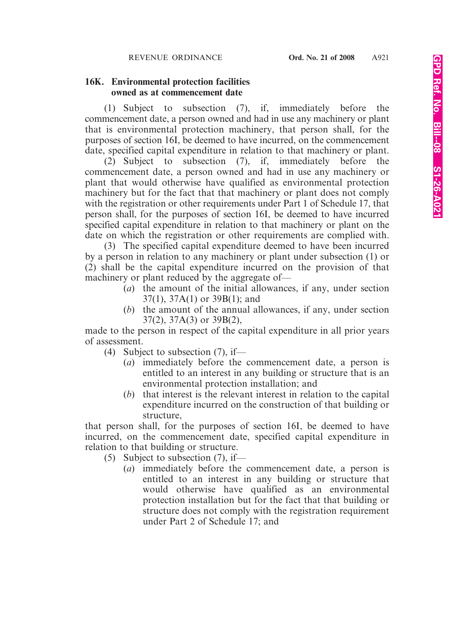### **16K. Environmental protection facilities owned as at commencement date**

(1) Subject to subsection (7), if, immediately before the commencement date, a person owned and had in use any machinery or plant that is environmental protection machinery, that person shall, for the purposes of section 16I, be deemed to have incurred, on the commencement date, specified capital expenditure in relation to that machinery or plant.

(2) Subject to subsection (7), if, immediately before the commencement date, a person owned and had in use any machinery or plant that would otherwise have qualified as environmental protection machinery but for the fact that that machinery or plant does not comply with the registration or other requirements under Part 1 of Schedule 17, that person shall, for the purposes of section 16I, be deemed to have incurred specified capital expenditure in relation to that machinery or plant on the date on which the registration or other requirements are complied with.

(3) The specified capital expenditure deemed to have been incurred by a person in relation to any machinery or plant under subsection (1) or (2) shall be the capital expenditure incurred on the provision of that machinery or plant reduced by the aggregate of—

- (*a*) the amount of the initial allowances, if any, under section 37(1), 37A(1) or 39B(1); and
- (*b*) the amount of the annual allowances, if any, under section 37(2), 37A(3) or 39B(2),

made to the person in respect of the capital expenditure in all prior years of assessment.

- (4) Subject to subsection  $(7)$ , if—
	- (*a*) immediately before the commencement date, a person is entitled to an interest in any building or structure that is an environmental protection installation; and
	- (*b*) that interest is the relevant interest in relation to the capital expenditure incurred on the construction of that building or structure,

that person shall, for the purposes of section 16I, be deemed to have incurred, on the commencement date, specified capital expenditure in relation to that building or structure.

- (5) Subject to subsection (7), if—
	- (*a*) immediately before the commencement date, a person is entitled to an interest in any building or structure that would otherwise have qualified as an environmental protection installation but for the fact that that building or structure does not comply with the registration requirement under Part 2 of Schedule 17; and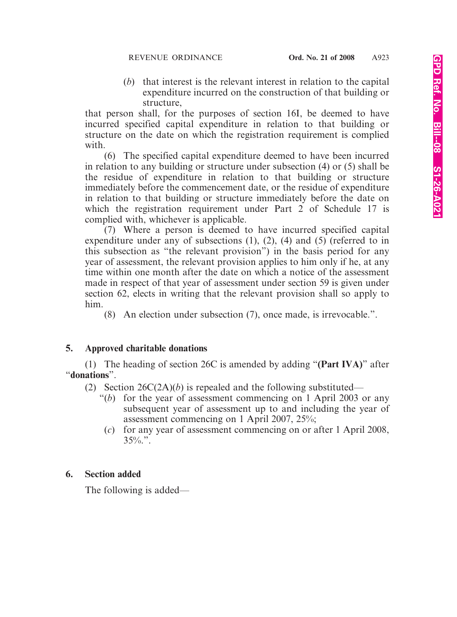(*b*) that interest is the relevant interest in relation to the capital expenditure incurred on the construction of that building or structure,

that person shall, for the purposes of section 16I, be deemed to have incurred specified capital expenditure in relation to that building or structure on the date on which the registration requirement is complied with.

(6) The specified capital expenditure deemed to have been incurred in relation to any building or structure under subsection (4) or (5) shall be the residue of expenditure in relation to that building or structure immediately before the commencement date, or the residue of expenditure in relation to that building or structure immediately before the date on which the registration requirement under Part 2 of Schedule 17 is complied with, whichever is applicable.

(7) Where a person is deemed to have incurred specified capital expenditure under any of subsections (1), (2), (4) and (5) (referred to in this subsection as "the relevant provision") in the basis period for any year of assessment, the relevant provision applies to him only if he, at any time within one month after the date on which a notice of the assessment made in respect of that year of assessment under section 59 is given under section 62, elects in writing that the relevant provision shall so apply to him.

(8) An election under subsection (7), once made, is irrevocable.".

### **5. Approved charitable donations**

(1) The heading of section 26C is amended by adding "**(Part IVA)**" after "**donations**".

(2) Section 26C(2A)(*b*) is repealed and the following substituted—

- "(*b*) for the year of assessment commencing on 1 April 2003 or any subsequent year of assessment up to and including the year of assessment commencing on 1 April 2007, 25%;
- (*c*) for any year of assessment commencing on or after 1 April 2008,  $35\%$ .".

# **6. Section added**

The following is added—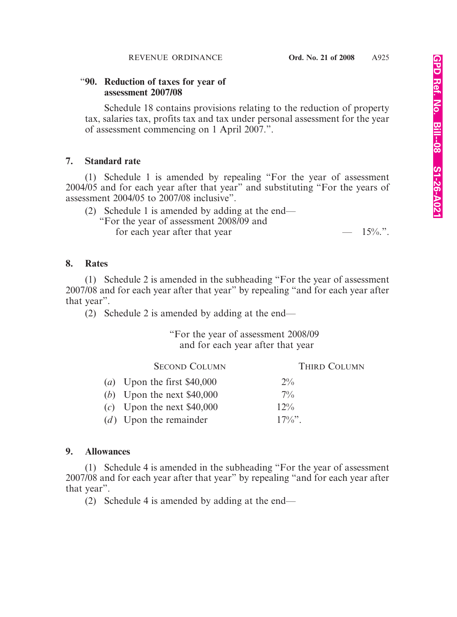#### "**90. Reduction of taxes for year of assessment 2007/08**

Schedule 18 contains provisions relating to the reduction of property tax, salaries tax, profits tax and tax under personal assessment for the year of assessment commencing on 1 April 2007.".

### **7. Standard rate**

(1) Schedule 1 is amended by repealing "For the year of assessment 2004/05 and for each year after that year" and substituting "For the years of assessment 2004/05 to 2007/08 inclusive".

| (2) Schedule 1 is amended by adding at the end— |           |
|-------------------------------------------------|-----------|
| "For the year of assessment 2008/09 and         |           |
| for each year after that year                   | $-15\%$ . |

### **8. Rates**

(1) Schedule 2 is amended in the subheading "For the year of assessment 2007/08 and for each year after that year" by repealing "and for each year after that year".

(2) Schedule 2 is amended by adding at the end—

### "For the year of assessment 2008/09 and for each year after that year

| <b>SECOND COLUMN</b>         | <b>THIRD COLUMN</b> |
|------------------------------|---------------------|
| (a) Upon the first $$40,000$ | $2\%$               |
| (b) Upon the next $$40,000$  | $7\%$               |
| $(c)$ Upon the next \$40,000 | $12\%$              |
| $(d)$ Upon the remainder     | $17\%$ "            |

### **9. Allowances**

(1) Schedule 4 is amended in the subheading "For the year of assessment 2007/08 and for each year after that year" by repealing "and for each year after that year".

(2) Schedule 4 is amended by adding at the end—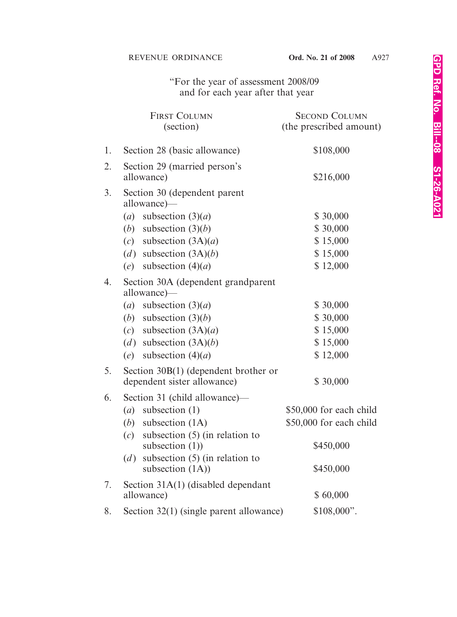### "For the year of assessment 2008/09 and for each year after that year

|    | <b>FIRST COLUMN</b><br>(section)                              | <b>SECOND COLUMN</b><br>(the prescribed amount) |
|----|---------------------------------------------------------------|-------------------------------------------------|
| 1. | Section 28 (basic allowance)                                  | \$108,000                                       |
| 2. | Section 29 (married person's<br>allowance)                    | \$216,000                                       |
| 3. | Section 30 (dependent parent<br>allowance)—                   |                                                 |
|    | subsection $(3)(a)$<br>(a)                                    | \$30,000                                        |
|    | subsection $(3)(b)$<br>(b)                                    | \$30,000                                        |
|    | subsection $(3A)(a)$<br>(c)                                   | \$15,000                                        |
|    | subsection $(3A)(b)$<br>(d)                                   | \$15,000                                        |
|    | subsection $(4)(a)$<br>(e)                                    | \$12,000                                        |
| 4. | Section 30A (dependent grandparent<br>allowance)—             |                                                 |
|    | subsection $(3)(a)$<br>(a)                                    | \$30,000                                        |
|    | subsection $(3)(b)$<br>(b)                                    | \$30,000                                        |
|    | subsection $(3A)(a)$<br>(c)                                   | \$15,000                                        |
|    | (d) subsection $(3A)(b)$                                      | \$15,000                                        |
|    | subsection $(4)(a)$<br>(e)                                    | \$12,000                                        |
| 5. | Section $30B(1)$ (dependent brother or                        |                                                 |
|    | dependent sister allowance)                                   | \$30,000                                        |
| 6. | Section 31 (child allowance)—                                 |                                                 |
|    | subsection $(1)$<br>(a)                                       | \$50,000 for each child                         |
|    | (b) subsection $(1A)$                                         | \$50,000 for each child                         |
|    | subsection $(5)$ (in relation to<br>(c)<br>subsection $(1)$ ) | \$450,000                                       |
|    | subsection $(5)$ (in relation to<br>(d)<br>subsection (1A))   | \$450,000                                       |
| 7. | Section 31A(1) (disabled dependant<br>allowance)              | \$60,000                                        |
| 8. | Section 32(1) (single parent allowance)                       | $$108,000$ ".                                   |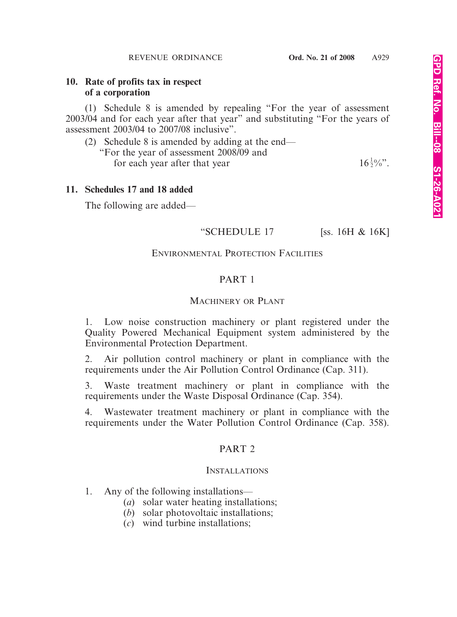#### **10. Rate of profits tax in respect of a corporation**

(1) Schedule 8 is amended by repealing "For the year of assessment 2003/04 and for each year after that year" and substituting "For the years of assessment 2003/04 to 2007/08 inclusive".

(2) Schedule 8 is amended by adding at the end— "For the year of assessment 2008/09 and for each year after that year  $16\frac{1}{2}\%$ .

### **11. Schedules 17 and 18 added**

The following are added—

#### "SCHEDULE 17 [ss. 16H & 16K]

### ENVIRONMENTAL PROTECTION FACILITIES

### PART 1

#### MACHINERY OR PLANT

1. Low noise construction machinery or plant registered under the Quality Powered Mechanical Equipment system administered by the Environmental Protection Department.

2. Air pollution control machinery or plant in compliance with the requirements under the Air Pollution Control Ordinance (Cap. 311).

3. Waste treatment machinery or plant in compliance with the requirements under the Waste Disposal Ordinance (Cap. 354).

4. Wastewater treatment machinery or plant in compliance with the requirements under the Water Pollution Control Ordinance (Cap. 358).

### PART 2

#### INSTALLATIONS

1. Any of the following installations—

- (*a*) solar water heating installations;
- (*b*) solar photovoltaic installations;
- (*c*) wind turbine installations;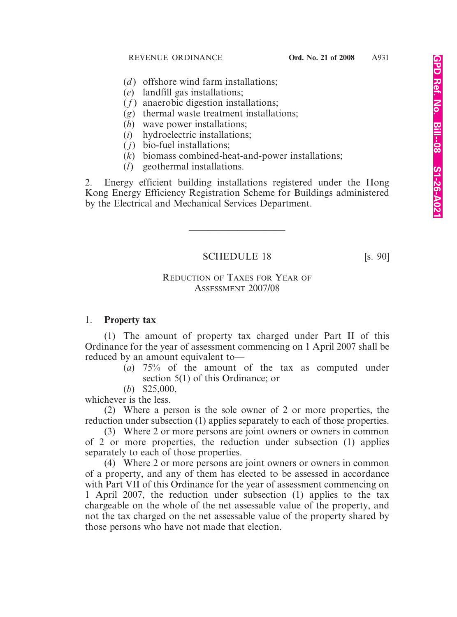- (*d*) offshore wind farm installations;
- (*e*) landfill gas installations;
- (*f*) anaerobic digestion installations;
- (*g*) thermal waste treatment installations;
- (*h*) wave power installations;
- (*i*) hydroelectric installations;
- ( *j*) bio-fuel installations;
- (*k*) biomass combined-heat-and-power installations;
- (*l*) geothermal installations.

2. Energy efficient building installations registered under the Hong Kong Energy Efficiency Registration Scheme for Buildings administered by the Electrical and Mechanical Services Department.

SCHEDULE 18 [s. 90]

————————————————————

# REDUCTION OF TAXES FOR YEAR OF ASSESSMENT 2007/08

# 1. **Property tax**

(1) The amount of property tax charged under Part II of this Ordinance for the year of assessment commencing on 1 April 2007 shall be reduced by an amount equivalent to—

(*a*) 75% of the amount of the tax as computed under section 5(1) of this Ordinance; or

(*b*) \$25,000,

whichever is the less.

(2) Where a person is the sole owner of 2 or more properties, the reduction under subsection (1) applies separately to each of those properties.

(3) Where 2 or more persons are joint owners or owners in common of 2 or more properties, the reduction under subsection (1) applies separately to each of those properties.

(4) Where 2 or more persons are joint owners or owners in common of a property, and any of them has elected to be assessed in accordance with Part VII of this Ordinance for the year of assessment commencing on 1 April 2007, the reduction under subsection (1) applies to the tax chargeable on the whole of the net assessable value of the property, and not the tax charged on the net assessable value of the property shared by those persons who have not made that election.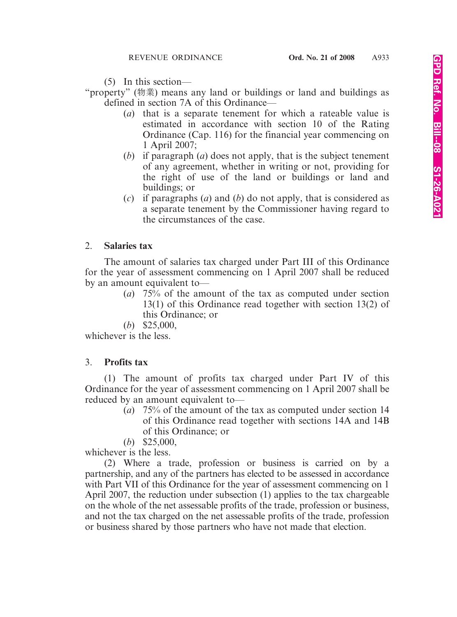(5) In this section—

"property" (物業) means any land or buildings or land and buildings as defined in section 7A of this Ordinance—

- (*a*) that is a separate tenement for which a rateable value is estimated in accordance with section 10 of the Rating Ordinance (Cap. 116) for the financial year commencing on 1 April 2007;
- (*b*) if paragraph (*a*) does not apply, that is the subject tenement of any agreement, whether in writing or not, providing for the right of use of the land or buildings or land and buildings; or
- (*c*) if paragraphs (*a*) and (*b*) do not apply, that is considered as a separate tenement by the Commissioner having regard to the circumstances of the case.

### 2. **Salaries tax**

The amount of salaries tax charged under Part III of this Ordinance for the year of assessment commencing on 1 April 2007 shall be reduced by an amount equivalent to—

- (*a*) 75% of the amount of the tax as computed under section 13(1) of this Ordinance read together with section 13(2) of this Ordinance; or
- (*b*) \$25,000,

whichever is the less.

# 3. **Profits tax**

(1) The amount of profits tax charged under Part IV of this Ordinance for the year of assessment commencing on 1 April 2007 shall be reduced by an amount equivalent to—

- (*a*) 75% of the amount of the tax as computed under section 14 of this Ordinance read together with sections 14A and 14B of this Ordinance; or
- (*b*) \$25,000,

whichever is the less.

(2) Where a trade, profession or business is carried on by a partnership, and any of the partners has elected to be assessed in accordance with Part VII of this Ordinance for the year of assessment commencing on 1 April 2007, the reduction under subsection (1) applies to the tax chargeable on the whole of the net assessable profits of the trade, profession or business, and not the tax charged on the net assessable profits of the trade, profession or business shared by those partners who have not made that election.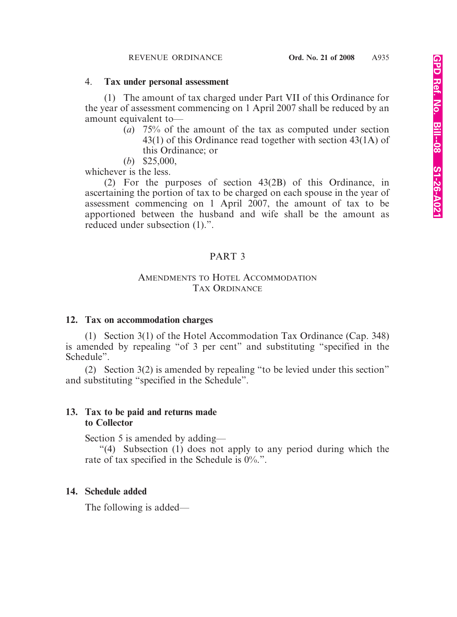#### 4. **Tax under personal assessment**

(1) The amount of tax charged under Part VII of this Ordinance for the year of assessment commencing on 1 April 2007 shall be reduced by an amount equivalent to—

- (*a*) 75% of the amount of the tax as computed under section 43(1) of this Ordinance read together with section 43(1A) of this Ordinance; or
- (*b*) \$25,000,

whichever is the less.

(2) For the purposes of section 43(2B) of this Ordinance, in ascertaining the portion of tax to be charged on each spouse in the year of assessment commencing on 1 April 2007, the amount of tax to be apportioned between the husband and wife shall be the amount as reduced under subsection (1).".

# PART 3

### AMENDMENTS TO HOTEL ACCOMMODATION TAX ORDINANCE

### **12. Tax on accommodation charges**

(1) Section 3(1) of the Hotel Accommodation Tax Ordinance (Cap. 348) is amended by repealing "of 3 per cent" and substituting "specified in the Schedule".

(2) Section 3(2) is amended by repealing "to be levied under this section" and substituting "specified in the Schedule".

### **13. Tax to be paid and returns made to Collector**

Section 5 is amended by adding—

"(4) Subsection (1) does not apply to any period during which the rate of tax specified in the Schedule is 0%.".

# **14. Schedule added**

The following is added—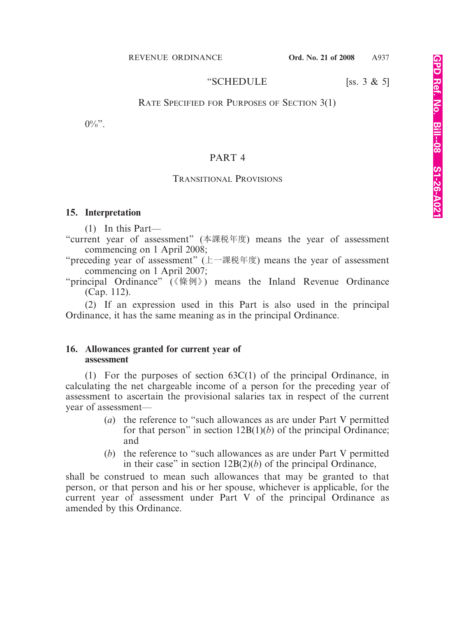#### REVENUE ORDINANCE **Ord. No. 21 of 2008** A937

#### "SCHEDULE [ss. 3 & 5]

#### RATE SPECIFIED FOR PURPOSES OF SECTION 3(1)

 $0\%$ ".

#### PART 4

#### TRANSITIONAL PROVISIONS

#### **15. Interpretation**

(1) In this Part—

"current year of assessment" (本課稅年度) means the year of assessment commencing on 1 April 2008;

"preceding year of assessment" (上一課稅年度) means the year of assessment commencing on 1 April 2007;

"principal Ordinance" (《條例》) means the Inland Revenue Ordinance (Cap. 112).

(2) If an expression used in this Part is also used in the principal Ordinance, it has the same meaning as in the principal Ordinance.

#### **16. Allowances granted for current year of assessment**

(1) For the purposes of section 63C(1) of the principal Ordinance, in calculating the net chargeable income of a person for the preceding year of assessment to ascertain the provisional salaries tax in respect of the current year of assessment—

- (*a*) the reference to "such allowances as are under Part V permitted for that person" in section  $12B(1)(b)$  of the principal Ordinance; and
- (*b*) the reference to "such allowances as are under Part V permitted in their case" in section 12B(2)(*b*) of the principal Ordinance,

shall be construed to mean such allowances that may be granted to that person, or that person and his or her spouse, whichever is applicable, for the current year of assessment under Part V of the principal Ordinance as amended by this Ordinance.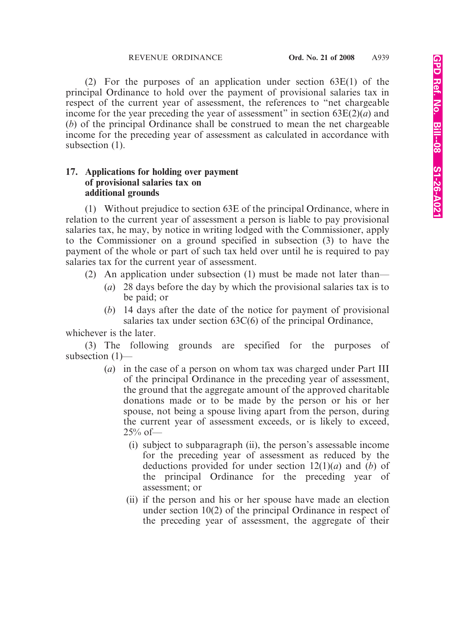(2) For the purposes of an application under section 63E(1) of the principal Ordinance to hold over the payment of provisional salaries tax in respect of the current year of assessment, the references to "net chargeable income for the year preceding the year of assessment" in section  $63E(2)(a)$  and (*b*) of the principal Ordinance shall be construed to mean the net chargeable income for the preceding year of assessment as calculated in accordance with subsection  $(1)$ .

# **17. Applications for holding over payment of provisional salaries tax on additional grounds**

(1) Without prejudice to section 63E of the principal Ordinance, where in relation to the current year of assessment a person is liable to pay provisional salaries tax, he may, by notice in writing lodged with the Commissioner, apply to the Commissioner on a ground specified in subsection (3) to have the payment of the whole or part of such tax held over until he is required to pay salaries tax for the current year of assessment.

- (2) An application under subsection (1) must be made not later than—
	- (*a*) 28 days before the day by which the provisional salaries tax is to be paid; or
	- (*b*) 14 days after the date of the notice for payment of provisional salaries tax under section 63C(6) of the principal Ordinance,

whichever is the later.

(3) The following grounds are specified for the purposes of subsection (1)—

- (*a*) in the case of a person on whom tax was charged under Part III of the principal Ordinance in the preceding year of assessment, the ground that the aggregate amount of the approved charitable donations made or to be made by the person or his or her spouse, not being a spouse living apart from the person, during the current year of assessment exceeds, or is likely to exceed,  $25\%$  of —
	- (i) subject to subparagraph (ii), the person's assessable income for the preceding year of assessment as reduced by the deductions provided for under section 12(1)(*a*) and (*b*) of the principal Ordinance for the preceding year of assessment; or
	- (ii) if the person and his or her spouse have made an election under section 10(2) of the principal Ordinance in respect of the preceding year of assessment, the aggregate of their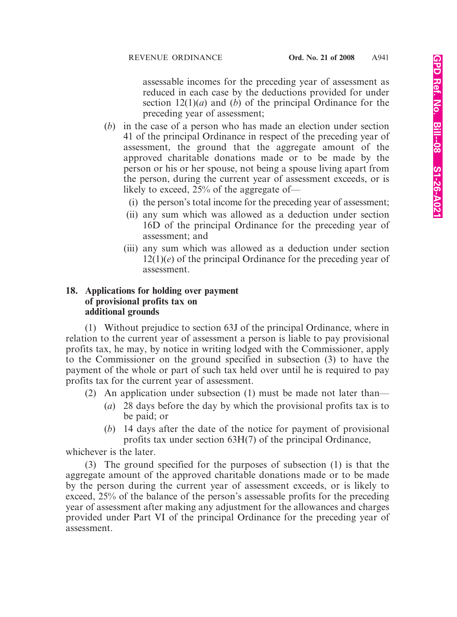assessable incomes for the preceding year of assessment as reduced in each case by the deductions provided for under section 12(1)(*a*) and (*b*) of the principal Ordinance for the preceding year of assessment;

- (*b*) in the case of a person who has made an election under section 41 of the principal Ordinance in respect of the preceding year of assessment, the ground that the aggregate amount of the approved charitable donations made or to be made by the person or his or her spouse, not being a spouse living apart from the person, during the current year of assessment exceeds, or is likely to exceed, 25% of the aggregate of—
	- (i) the person's total income for the preceding year of assessment;
	- (ii) any sum which was allowed as a deduction under section 16D of the principal Ordinance for the preceding year of assessment; and
	- (iii) any sum which was allowed as a deduction under section 12(1)(*e*) of the principal Ordinance for the preceding year of assessment.

### **18. Applications for holding over payment of provisional profits tax on additional grounds**

(1) Without prejudice to section 63J of the principal Ordinance, where in relation to the current year of assessment a person is liable to pay provisional profits tax, he may, by notice in writing lodged with the Commissioner, apply to the Commissioner on the ground specified in subsection (3) to have the payment of the whole or part of such tax held over until he is required to pay profits tax for the current year of assessment.

- (2) An application under subsection (1) must be made not later than—
	- (*a*) 28 days before the day by which the provisional profits tax is to be paid; or
	- (*b*) 14 days after the date of the notice for payment of provisional profits tax under section 63H(7) of the principal Ordinance,

whichever is the later.

(3) The ground specified for the purposes of subsection (1) is that the aggregate amount of the approved charitable donations made or to be made by the person during the current year of assessment exceeds, or is likely to exceed, 25% of the balance of the person's assessable profits for the preceding year of assessment after making any adjustment for the allowances and charges provided under Part VI of the principal Ordinance for the preceding year of assessment.